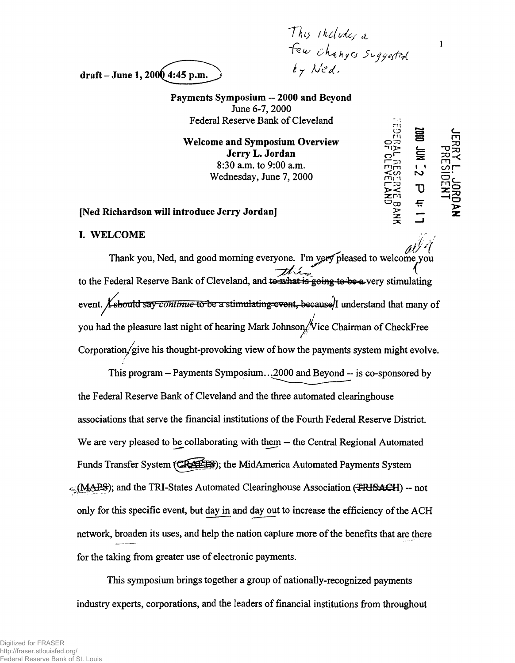*This includes a ~fUs o L ^ h y tj 3 o ij*

o S C .

 $\mathbf{1}$ 

 $\overline H$ 

draft – June 1,  $2000$  4:45 p.m.

Payments Symposium — 2000 and Beyond June 6-7,2000 Federal Reserve Bank of Cleveland

*Welcome and Symposium Overview*  $\begin{array}{cc} \n\bigcap_{\substack{m \to \infty \\ n \to \infty}}$  $Jerry L. Jordan$ 8:30 a.m. to 9:00 a.m. Wednesday, June 7, 2000 mm  $\sum_{\substack{n=0 \ n \ge 0}}^{\infty}$  N

### [Ned Richardson will introduce Jerry Jordan]

## I. WELCOME

Thank you, Ned, and good morning everyone. I'm very pleased to welcome you to the Federal Reserve Bank of Cleveland, and tessels are going to be a-very stimulating event. *X* should say *continue* to be a stimulating event, because)I understand that many of you had the pleasure last night of hearing Mark Johnson, Vice Chairman of CheckFree Corporation/give his thought-provoking view of how the payments system might evolve. /

This program  $-$  Payments Symposium...2000 and Beyond  $-$  is co-sponsored by the Federal Reserve Bank of Cleveland and the three automated clearinghouse associations that serve the financial institutions of the Fourth Federal Reserve District. We are very pleased to be collaborating with them — the Central Regional Automated Funds Transfer System (CA4EES); the MidAmerica Automated Payments System  $\subset$ (MAPS); and the TRI-States Automated Clearinghouse Association (FRISACH) -- not only for this specific event, but day in and day out to increase the efficiency of the ACH network, broaden its uses, and help the nation capture more of the benefits that are there for the taking from greater use of electronic payments.

This symposium brings together a group of nationally-recognized payments industry experts, corporations, and the leaders of financial institutions from throughout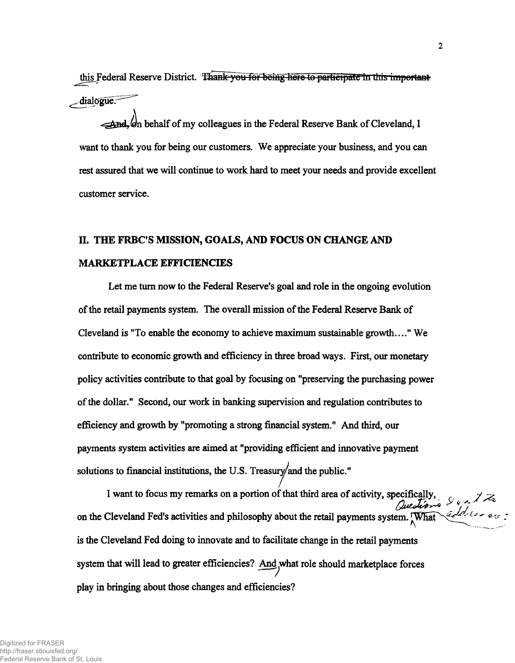**this Federal Reserve District, dialogue;**

 $\rightarrow$ **And, on behalf of my colleagues in the Federal Reserve Bank of Cleveland, I want to thank you for being our customers. We appreciate your business, and you can rest assured that we will continue to work hard to meet your needs and provide excellent customer service.**

# **H. THE FRBC'S MISSION, GOALS, AND FOCUS ON CHANGE AND MARKETPLACE EFFICIENCIES**

**Let me turn now to the Federal Reserve's goal and role in the ongoing evolution of the retail payments system. The overall mission of the Federal Reserve Bank of Cleveland is "To enable the economy to achieve maximum sustainable growth...." We contribute to economic growth and efficiency in three broad ways. First, our monetary policy activities contribute to that goal by focusing on "preserving the purchasing power of the dollar." Second, our work in banking supervision and regulation contributes to efficiency and growth by "promoting a strong financial system." And third, our payments system activities are aimed at "providing efficient and innovative payment** solutions to financial institutions, the U.S. Treasury/and the public."

**I want to focus my remarks on a portion of that third area of activity, specifically,** *r* **/** *-y* on the Cleveland Fed's activities and philosophy about the retail payments system. What explaining and **is the Cleveland Fed doing to innovate and to facilitate change in the retail payments** system that will lead to greater efficiencies? And what role should marketplace forces **play in bringing about those changes and efficiencies?**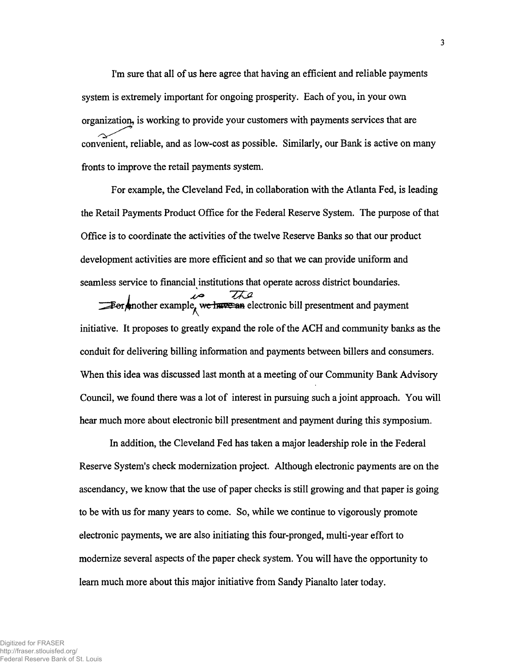I'm sure that all of us here agree that having an efficient and reliable payments system is extremely important for ongoing prosperity. Each of you, in your own organization, is working to provide your customers with payments services that are convenient, reliable, and as low-cost as possible. Similarly, our Bank is active on many fronts to improve the retail payments system.

For example, the Cleveland Fed, in collaboration with the Atlanta Fed, is leading the Retail Payments Product Office for the Federal Reserve System. The purpose of that Office is to coordinate the activities of the twelve Reserve Banks so that our product development activities are more efficient and so that we can provide uniform and seamless service to financial institutions that operate across district boundaries.

 $\overrightarrow{AC}$ <br>For mother example, we have an electronic bill presentment and payment initiative. It proposes to greatly expand the role of the ACH and community banks as the conduit for delivering billing information and payments between billers and consumers. When this idea was discussed last month at a meeting of our Community Bank Advisory Council, we found there was a lot of interest in pursuing such a joint approach. You will hear much more about electronic bill presentment and payment during this symposium.

In addition, the Cleveland Fed has taken a major leadership role in the Federal Reserve System's check modernization project. Although electronic payments are on the ascendancy, we know that the use of paper checks is still growing and that paper is going to be with us for many years to come. So, while we continue to vigorously promote electronic payments, we are also initiating this four-pronged, multi-year effort to modernize several aspects of the paper check system. You will have the opportunity to learn much more about this major initiative from Sandy Pianalto later today.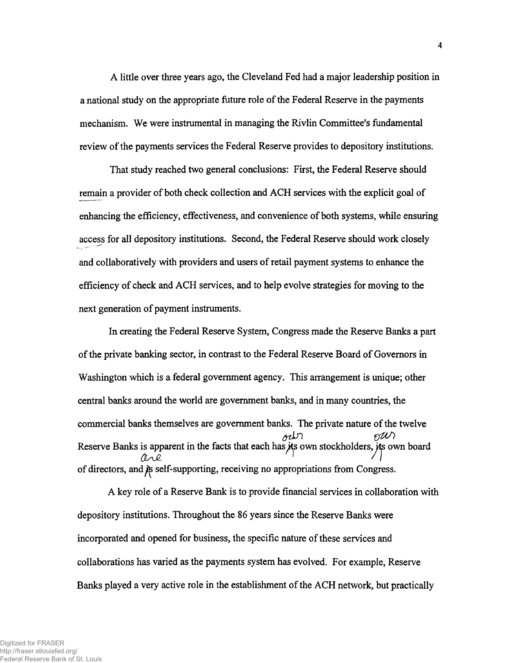A little over three years ago, the Cleveland Fed had a major leadership position in a national study on the appropriate future role of the Federal Reserve in the payments mechanism. We were instrumental in managing the Rivlin Committee's fundamental review of the payments services the Federal Reserve provides to depository institutions.

That study reached two general conclusions: First, the Federal Reserve should remain a provider of both check collection and ACH services with the explicit goal of enhancing the efficiency, effectiveness, and convenience of both systems, while ensuring access for all depository institutions. Second, the Federal Reserve should work closely and collaboratively with providers and users of retail payment systems to enhance the efficiency of check and ACH services, and to help evolve strategies for moving to the next generation of payment instruments.

In creating the Federal Reserve System, Congress made the Reserve Banks a part of the private banking sector, in contrast to the Federal Reserve Board of Governors in Washington which is a federal government agency. This arrangement is unique; other central banks around the world are government banks, and in many countries, the commercial banks themselves are government banks. The private nature of the twelve ochr PUV) Reserve Banks is apparent in the facts that each has its own stockholders, its own board *o sjl ] n* of directors, and  $\hat{\beta}$  self-supporting, receiving no appropriations from Congress.

A key role of a Reserve Bank is to provide financial services in collaboration with depository institutions. Throughout the 86 years since the Reserve Banks were incorporated and opened for business, the specific nature of these services and collaborations has varied as the payments system has evolved. For example, Reserve Banks played a very active role in the establishment of the ACH network, but practically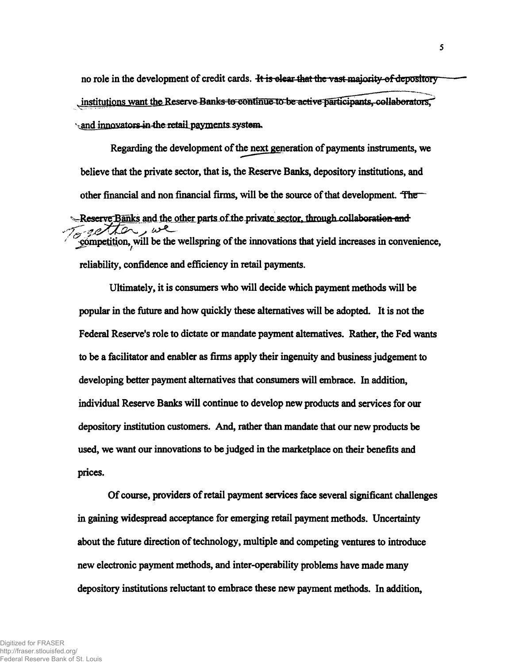no role in the development of credit cards. He is elear that the vast-majority-of depository institutions want the Reserve-Banks to continue to be active participants, collaborators. **\timeshim{innparators4n+the-retail payments system.** 

**Regarding the development of thenext generation of payments instruments, we believe that the private sector, that is, the Reserve Banks, depository institutions, and** other financial and non financial firms, will be the source of that development. The **Example 3** Figure 3 and the other parts of the private sector, through collaboration and *Competition, will be the wellspring of the innovations that yield increases in convenience,* **reliability, confidence and efficiency in retail payments.**

**Ultimately, it is consumers who will decide which payment methods will be popular in the future and how quickly these alternatives will be adopted. It is not the Federal Reserve's role to dictate or mandate payment alternatives. Rather, the Fed wants to be a facilitator and enabler as firms apply their ingenuity and business judgement to developing better payment alternatives that consumers will embrace. In addition, individual Reserve Banks will continue to develop new products and services for our depository institution customers. And, rather than mandate that our new products be used, we want our innovations to be judged in the marketplace on their benefits and prices.**

**Of course, providers of retail payment services face several significant challenges in gaining widespread acceptance for emerging retail payment methods. Uncertainty about the future direction of technology, multiple and competing ventures to introduce new electronic payment methods, and inter-operability problems have made many depository institutions reluctant to embrace these new payment methods. In addition,**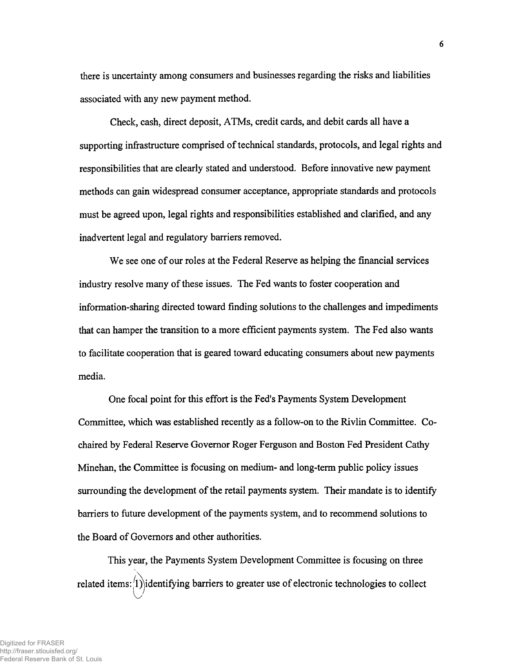there is uncertainty among consumers and businesses regarding the risks and liabilities associated with any new payment method.

Check, cash, direct deposit, ATMs, credit cards, and debit cards all have a supporting infrastructure comprised of technical standards, protocols, and legal rights and responsibilities that are clearly stated and understood. Before innovative new payment methods can gain widespread consumer acceptance, appropriate standards and protocols must be agreed upon, legal rights and responsibilities established and clarified, and any inadvertent legal and regulatory barriers removed.

We see one of our roles at the Federal Reserve as helping the financial services industry resolve many of these issues. The Fed wants to foster cooperation and information-sharing directed toward finding solutions to the challenges and impediments that can hamper the transition to a more efficient payments system. The Fed also wants to facilitate cooperation that is geared toward educating consumers about new payments media.

One focal point for this effort is the Fed's Payments System Development Committee, which was established recently as a follow-on to the Rivlin Committee. Cochaired by Federal Reserve Governor Roger Ferguson and Boston Fed President Cathy Minehan, the Committee is focusing on medium- and long-term public policy issues surrounding the development of the retail payments system. Their mandate is to identify barriers to future development of the payments system, and to recommend solutions to the Board of Governors and other authorities.

This year, the Payments System Development Committee is focusing on three related items:  $^{(1)}$ ) identifying barriers to greater use of electronic technologies to collect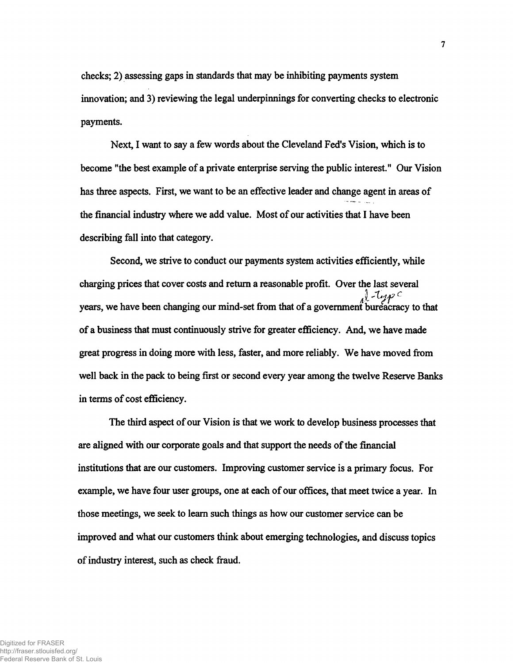**checks; 2) assessing gaps in standards that may be inhibiting payments system innovation; and 3) reviewing the legal underpinnings for converting checks to electronic payments.**

**Next, I want to say a few words about the Cleveland Fed's Vision, which is to become "the best example of a private enterprise serving the public interest" Our Vision has three aspects. First, we want to be an effective leader and change agent in areas of the financial industry where we add value. Most of our activities that I have been describing fall into that category.**

**Second, we strive to conduct our payments system activities efficiently, while charging prices that cover costs and return a reasonable profit. Over the last several years, we have been changing our mind-set from that of a government bureacracy to that of a business that must continuously strive for greater efficiency. And, we have made great progress in doing more with less, faster, and more reliably. We have moved from well back in the pack to being first or second every year among the twelve Reserve Banks in terms of cost efficiency.**

**The third aspect of our Vision is that we work to develop business processes that are aligned with our corporate goals and that support the needs of the financial institutions that are our customers. Improving customer service is a primary focus. For example, we have four user groups, one at each of our offices, that meet twice a year. In those meetings, we seek to learn such things as how our customer service can be improved and what our customers think about emerging technologies, and discuss topics of industry interest, such as check fraud.**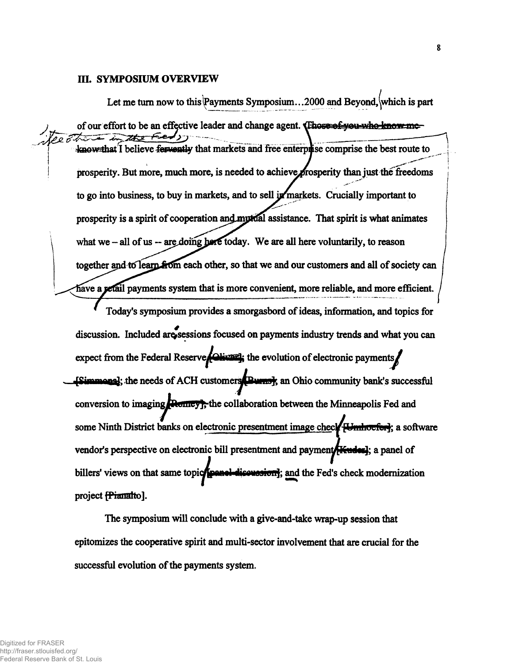#### **in. SYMPOSIUM OVERVIEW**

Let me turn now to this Payments Symposium...2000 and Beyond, which is part of our effort to be an effective leader and change agent. **Those of you who know me** .— **>' 4aiow that I believe fervently that markets and free enterprise comprise the best route to** prosperity. But more, much more, is needed to achieve prosperity than just the freedoms to go into business, to buy in markets, and to sell in markets. Crucially important to prosperity is a spirit of cooperation and myrical assistance. That spirit is what animates what we - all of us -- are doing here today. We are all here voluntarily, to reason together and to learn  $\frac{2}{50}$  each other, so that we and our customers and all of society can have a **petail payments system that is more convenient, more reliable, and more efficient**.

**Today's symposium provides a smorgasbord of ideas, information, and topics for** discussion. Included are sessions focused on payments industry trends and what you can expect from the Federal Reserve *Colivari*; the evolution of electronic payments *j*  $\frac{1}{2}$  **[Simmons]**; the needs of ACH customers  $\frac{1}{2}$  **Purns]**; an Ohio community bank's successful conversion to imaging **Ruilieus**; the collaboration between the Minneapolis Fed and some Ninth District banks on electronic presentment image check **H-mhoeferi**; a software vendor's perspective on electronic bill presentment and payment **[Kudes**]; a panel of billers' views on that same topic**/[panel-discursion]**; and the Fed's check modernization **project fPianafto].**

**The symposium will conclude with a give-and-take wrap-up session that epitomizes the cooperative spirit and multi-sector involvement that are crucial for the successful evolution of the payments system.**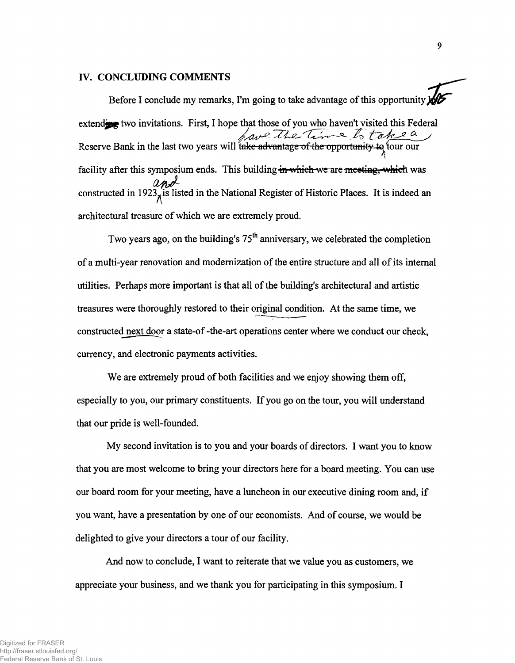### **IV. CONCLUDING COMMENTS**

Before I conclude my remarks, I'm going to take advantage of this opportunity  $\frac{1}{2}$ extending two invitations. First, I hope that those of you who haven't visited this Federal Reserve Bank in the last two years will take advantage of the opportunity to tour our facility after this symposium ends. This building in which we are meeting, which was constructed in 1923<sub> $\pi$ </sub>is listed in the National Register of Historic Places. It is indeed an architectural treasure of which we are extremely proud.

Two years ago, on the building's  $75<sup>th</sup>$  anniversary, we celebrated the completion of a multi-year renovation and modernization of the entire structure and all of its internal utilities. Perhaps more important is that all of the building's architectural and artistic treasures were thoroughly restored to their original condition. At the same time, we constructed next door a state-of -the-art operations center where we conduct our check, currency, and electronic payments activities.

We are extremely proud of both facilities and we enjoy showing them off, especially to you, our primary constituents. If you go on the tour, you will understand that our pride is well-founded.

My second invitation is to you and your boards of directors. I want you to know that you are most welcome to bring your directors here for a board meeting. You can use our board room for your meeting, have a luncheon in our executive dining room and, if you want, have a presentation by one of our economists. And of course, we would be delighted to give your directors a tour of our facility.

And now to conclude, I want to reiterate that we value you as customers, we appreciate your business, and we thank you for participating in this symposium. I